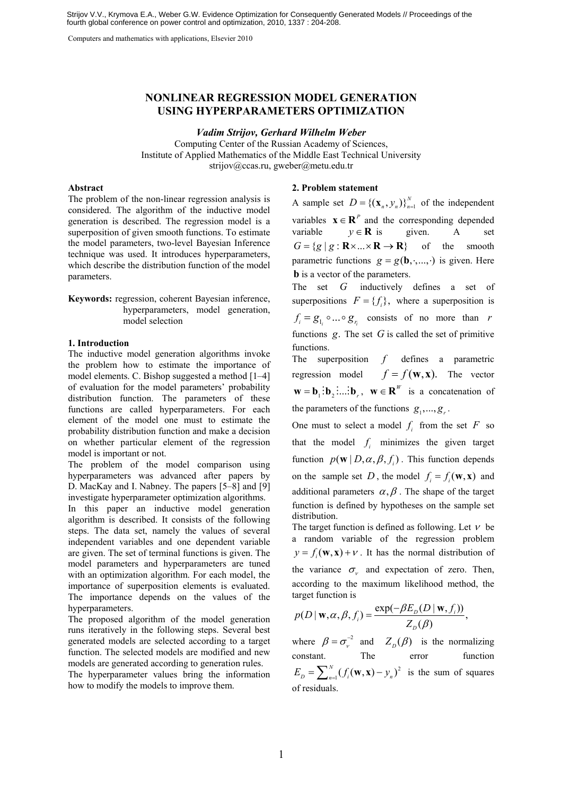Computers and mathematics with applications, Elsevier 2010

# **NONLINEAR REGRESSION MODEL GENERATION USING HYPERPARAMETERS OPTIMIZATION**

# *Vadim Strijov, Gerhard Wilhelm Weber*

Computing Center of the Russian Academy of Sciences, Institute of Applied Mathematics of the Middle East Technical University strijov@ccas.ru, gweber@metu.edu.tr

# **Abstract**

The problem of the non-linear regression analysis is considered. The algorithm of the inductive model generation is described. The regression model is a superposition of given smooth functions. To estimate the model parameters, two-level Bayesian Inference technique was used. It introduces hyperparameters, which describe the distribution function of the model parameters.

**Keywords:** regression, coherent Bayesian inference, hyperparameters, model generation, model selection

#### **1. Introduction**

The inductive model generation algorithms invoke the problem how to estimate the importance of model elements. C. Bishop suggested a method [1–4] of evaluation for the model parameters' probability distribution function. The parameters of these functions are called hyperparameters. For each element of the model one must to estimate the probability distribution function and make a decision on whether particular element of the regression model is important or not.

The problem of the model comparison using hyperparameters was advanced after papers by D. MacKay and I. Nabney. The papers [5–8] and [9] investigate hyperparameter optimization algorithms.

In this paper an inductive model generation algorithm is described. It consists of the following steps. The data set, namely the values of several independent variables and one dependent variable are given. The set of terminal functions is given. The model parameters and hyperparameters are tuned with an optimization algorithm. For each model, the importance of superposition elements is evaluated. The importance depends on the values of the hyperparameters.

The proposed algorithm of the model generation runs iteratively in the following steps. Several best generated models are selected according to a target function. The selected models are modified and new models are generated according to generation rules.

The hyperparameter values bring the information how to modify the models to improve them.

# **2. Problem statement**

A sample set  $D = \{(\mathbf{x}_n, y_n)\}_{n=1}^N$  of the independent variables  $\mathbf{x} \in \mathbb{R}^P$  and the corresponding depended variable  $y \in \mathbf{R}$  is given. A set  $G = \{ g \mid g : \mathbf{R} \times ... \times \mathbf{R} \to \mathbf{R} \}$  of the smooth parametric functions  $g = g(\mathbf{b}, \cdot, \dots, \cdot)$  is given. Here **b** is a vector of the parameters.

The set *G* inductively defines a set of superpositions  $F = \{f_i\}$ , where a superposition is  $f_i = g_{i} \circ \dots \circ g_{r_i}$  consists of no more than *r* functions  $g$ . The set  $G$  is called the set of primitive functions.

The superposition *f* defines a parametric regression model  $f = f(\mathbf{w}, \mathbf{x})$ . The vector  $\mathbf{w} = \mathbf{b}_1 : \mathbf{b}_2 : \dots : \mathbf{b}_n$ ,  $\mathbf{w} \in \mathbb{R}^W$  is a concatenation of the parameters of the functions  $g_1, \ldots, g_r$ .

One must to select a model  $f_i$  from the set  $F$  so that the model  $f_i$  minimizes the given target function  $p(\mathbf{w} | D, \alpha, \beta, f)$ . This function depends on the sample set *D*, the model  $f_i = f_i(\mathbf{w}, \mathbf{x})$  and additional parameters  $\alpha, \beta$ . The shape of the target function is defined by hypotheses on the sample set distribution.

The target function is defined as following. Let  $\nu$  be a random variable of the regression problem  $y = f(x, \mathbf{x}) + v$ . It has the normal distribution of the variance  $\sigma_{v}$  and expectation of zero. Then, according to the maximum likelihood method, the target function is

$$
p(D \mid \mathbf{w}, \alpha, \beta, f_i) = \frac{\exp(-\beta E_D(D \mid \mathbf{w}, f_i))}{Z_D(\beta)},
$$

where  $\beta = \sigma_{v}^{-2}$  and  $Z_{D}(\beta)$  is the normalizing constant. The error function 2  $E_D = \sum_{n=1}^{N} (f_i(\mathbf{w}, \mathbf{x}) - y_n)^2$  is the sum of squares of residuals.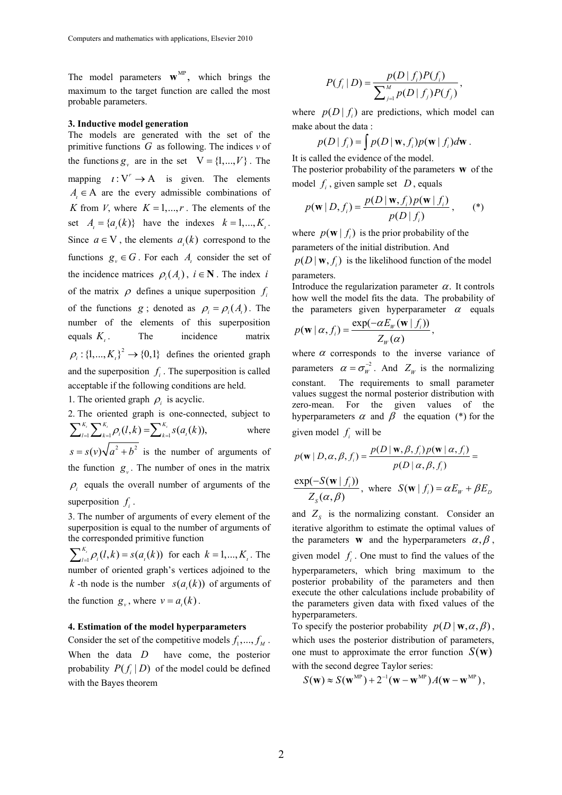The model parameters  $\mathbf{w}^{\text{MP}}$ , which brings the maximum to the target function are called the most probable parameters.

#### **3. Inductive model generation**

The models are generated with the set of the primitive functions *G* as following. The indices *v* of the functions  $g_{y}$  are in the set  $V = \{1, ..., V\}$ . The mapping  $i:V^r \to A$  is given. The elements  $A_i \in A$  are the every admissible combinations of *K* from *V*, where  $K = 1, ..., r$ . The elements of the set  $A = \{a_k(k)\}$  have the indexes  $k = 1, ..., K_k$ . Since  $a \in V$ , the elements  $a<sub>i</sub>(k)$  correspond to the functions  $g_y \in G$ . For each  $A_i$  consider the set of the incidence matrices  $\rho_i(A)$ ,  $i \in \mathbb{N}$ . The index *i* of the matrix  $\rho$  defines a unique superposition  $f_i$ of the functions *g*; denoted as  $\rho_i = \rho_i(A_i)$ . The number of the elements of this superposition equals *K*<sub>1</sub>. The incidence matrix  $\rho_i$ : {1,...,  $K_i$ }<sup>2</sup>  $\rightarrow$  {0,1} defines the oriented graph and the superposition  $f_i$ . The superposition is called acceptable if the following conditions are held.

1. The oriented graph  $\rho_i$  is acyclic.

2. The oriented graph is one-connected, subject to  $\sum_{l=1}^{K_i} \sum_{k=1}^{K_i} \rho_i(l, k) = \sum_{k=1}^{K_i} s(a_i(k)),$  where  $s = s(v)\sqrt{a^2 + b^2}$  is the number of arguments of the function  $g_y$ . The number of ones in the matrix  $\beta$  equals the overall number of arguments of the superposition  $f_i$ .

3. The number of arguments of every element of the superposition is equal to the number of arguments of the corresponded primitive function

 $\sum_{i=1}^{K_i} \rho_i(l, k) = s(a_i(k))$  for each  $k = 1, ..., K_i$ . The number of oriented graph's vertices adjoined to the *k* -th node is the number  $s(a(k))$  of arguments of the function  $g_v$ , where  $v = a_k(k)$ .

# **4. Estimation of the model hyperparameters**

Consider the set of the competitive models  $f_1, \ldots, f_M$ . When the data *D* have come, the posterior probability  $P(f_i | D)$  of the model could be defined with the Bayes theorem

$$
P(f_i | D) = \frac{p(D | f_i)P(f_i)}{\sum_{j=1}^{M} p(D | f_j)P(f_j)},
$$

where  $p(D|f_i)$  are predictions, which model can make about the data :

$$
p(D | f_i) = \int p(D | \mathbf{w}, f_i) p(\mathbf{w} | f_i) d\mathbf{w}.
$$

It is called the evidence of the model. The posterior probability of the parameters **w** of the model  $f_i$ , given sample set  $D$ , equals

$$
p(\mathbf{w} | D, f_i) = \frac{p(D | \mathbf{w}, f_i) p(\mathbf{w} | f_i)}{p(D | f_i)},
$$
 (\*)

where  $p(\mathbf{w} | f)$  is the prior probability of the parameters of the initial distribution. And

 $p(D | \mathbf{w}, f_i)$  is the likelihood function of the model parameters.

Introduce the regularization parameter  $\alpha$ . It controls how well the model fits the data. The probability of the parameters given hyperparameter  $\alpha$  equals

$$
p(\mathbf{w} \mid \alpha, f_i) = \frac{\exp(-\alpha E_{\mu}(\mathbf{w} \mid f_i))}{Z_{\mu}(\alpha)},
$$

where  $\alpha$  corresponds to the inverse variance of parameters  $\alpha = \sigma_w^{-2}$ . And  $Z_w$  is the normalizing constant. The requirements to small parameter values suggest the normal posterior distribution with zero-mean. For the given values of the hyperparameters  $\alpha$  and  $\beta$  the equation (\*) for the given model  $f_i$  will be

$$
p(\mathbf{w} | D, \alpha, \beta, f_i) = \frac{p(D | \mathbf{w}, \beta, f_i) p(\mathbf{w} | \alpha, f_i)}{p(D | \alpha, \beta, f_i)} =
$$
  

$$
\frac{\exp(-S(\mathbf{w} | f_i))}{Z_s(\alpha, \beta)}, \text{ where } S(\mathbf{w} | f_i) = \alpha E_w + \beta E_D
$$

and  $Z<sub>s</sub>$  is the normalizing constant. Consider an iterative algorithm to estimate the optimal values of the parameters **w** and the hyperparameters  $\alpha, \beta$ , given model  $f_i$ . One must to find the values of the hyperparameters, which bring maximum to the posterior probability of the parameters and then execute the other calculations include probability of the parameters given data with fixed values of the hyperparameters.

To specify the posterior probability  $p(D | w, \alpha, \beta)$ , which uses the posterior distribution of parameters, one must to approximate the error function  $S(\bf{w})$ with the second degree Taylor series:

$$
S(\mathbf{w}) \approx S(\mathbf{w}^{\text{MP}}) + 2^{-1}(\mathbf{w} - \mathbf{w}^{\text{MP}})A(\mathbf{w} - \mathbf{w}^{\text{MP}}),
$$